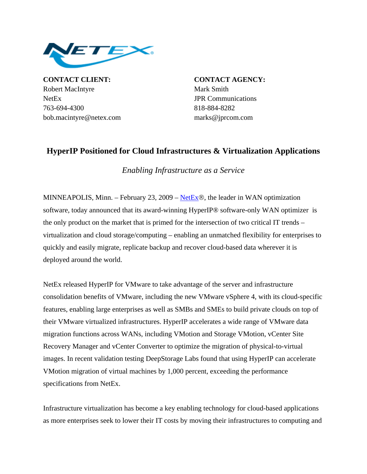

**CONTACT CLIENT: CONTACT AGENCY:** Robert MacIntyre Mark Smith NetEx JPR Communications 763-694-4300 818-884-8282 bob.macintyre@netex.com marks@jprcom.com

## **HyperIP Positioned for Cloud Infrastructures & Virtualization Applications**

*Enabling Infrastructure as a Service* 

MINNEAPOLIS, Minn. – February 23, 2009 – [NetEx](http://www.netex.com/)®, the leader in WAN optimization software, today announced that its award-winning HyperIP® software-only WAN optimizer is the only product on the market that is primed for the intersection of two critical IT trends – virtualization and cloud storage/computing – enabling an unmatched flexibility for enterprises to quickly and easily migrate, replicate backup and recover cloud-based data wherever it is deployed around the world.

NetEx released HyperIP for VMware to take advantage of the server and infrastructure consolidation benefits of VMware, including the new VMware vSphere 4, with its cloud-specific features, enabling large enterprises as well as SMBs and SMEs to build private clouds on top of their VMware virtualized infrastructures. HyperIP accelerates a wide range of VMware data migration functions across WANs, including VMotion and Storage VMotion, vCenter Site Recovery Manager and vCenter Converter to optimize the migration of physical-to-virtual images. In recent validation testing DeepStorage Labs found that using HyperIP can accelerate VMotion migration of virtual machines by 1,000 percent, exceeding the performance specifications from NetEx.

Infrastructure virtualization has become a key enabling technology for cloud-based applications as more enterprises seek to lower their IT costs by moving their infrastructures to computing and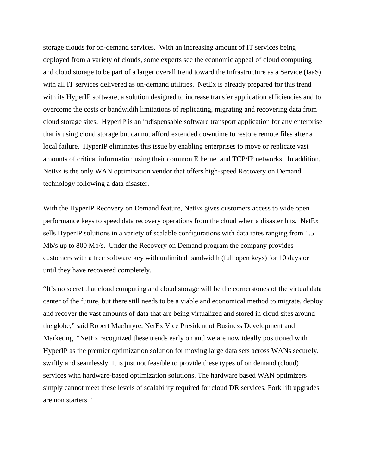storage clouds for on-demand services. With an increasing amount of IT services being deployed from a variety of clouds, some experts see the economic appeal of cloud computing and cloud storage to be part of a larger overall trend toward the Infrastructure as a Service (IaaS) with all IT services delivered as on-demand utilities. NetEx is already prepared for this trend with its HyperIP software, a solution designed to increase transfer application efficiencies and to overcome the costs or bandwidth limitations of replicating, migrating and recovering data from cloud storage sites. HyperIP is an indispensable software transport application for any enterprise that is using cloud storage but cannot afford extended downtime to restore remote files after a local failure. HyperIP eliminates this issue by enabling enterprises to move or replicate vast amounts of critical information using their common Ethernet and TCP/IP networks. In addition, NetEx is the only WAN optimization vendor that offers high-speed Recovery on Demand technology following a data disaster.

With the HyperIP Recovery on Demand feature, NetEx gives customers access to wide open performance keys to speed data recovery operations from the cloud when a disaster hits. NetEx sells HyperIP solutions in a variety of scalable configurations with data rates ranging from 1.5 Mb/s up to 800 Mb/s. Under the Recovery on Demand program the company provides customers with a free software key with unlimited bandwidth (full open keys) for 10 days or until they have recovered completely.

"It's no secret that cloud computing and cloud storage will be the cornerstones of the virtual data center of the future, but there still needs to be a viable and economical method to migrate, deploy and recover the vast amounts of data that are being virtualized and stored in cloud sites around the globe," said Robert MacIntyre, NetEx Vice President of Business Development and Marketing. "NetEx recognized these trends early on and we are now ideally positioned with HyperIP as the premier optimization solution for moving large data sets across WANs securely, swiftly and seamlessly. It is just not feasible to provide these types of on demand (cloud) services with hardware-based optimization solutions. The hardware based WAN optimizers simply cannot meet these levels of scalability required for cloud DR services. Fork lift upgrades are non starters."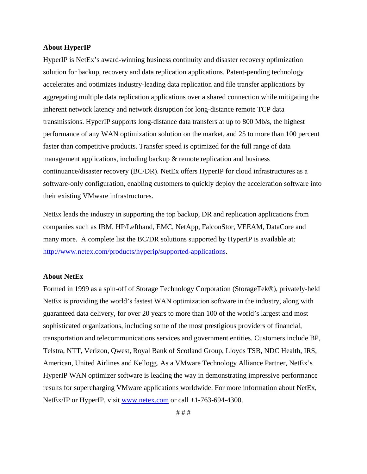## **About HyperIP**

HyperIP is NetEx's award-winning business continuity and disaster recovery optimization solution for backup, recovery and data replication applications. Patent-pending technology accelerates and optimizes industry-leading data replication and file transfer applications by aggregating multiple data replication applications over a shared connection while mitigating the inherent network latency and network disruption for long-distance remote TCP data transmissions. HyperIP supports long-distance data transfers at up to 800 Mb/s, the highest performance of any WAN optimization solution on the market, and 25 to more than 100 percent faster than competitive products. Transfer speed is optimized for the full range of data management applications, including backup & remote replication and business continuance/disaster recovery (BC/DR). NetEx offers HyperIP for cloud infrastructures as a software-only configuration, enabling customers to quickly deploy the acceleration software into their existing VMware infrastructures.

NetEx leads the industry in supporting the top backup, DR and replication applications from companies such as IBM, HP/Lefthand, EMC, NetApp, FalconStor, VEEAM, DataCore and many more. A complete list the BC/DR solutions supported by HyperIP is available at: [http://www.netex.com/products/hyperip/supported-applications.](http://www.netex.com/products/hyperip/supported-applications)

## **About NetEx**

Formed in 1999 as a spin-off of Storage Technology Corporation (StorageTek®), privately-held NetEx is providing the world's fastest WAN optimization software in the industry, along with guaranteed data delivery, for over 20 years to more than 100 of the world's largest and most sophisticated organizations, including some of the most prestigious providers of financial, transportation and telecommunications services and government entities. Customers include BP, Telstra, NTT, Verizon, Qwest, Royal Bank of Scotland Group, Lloyds TSB, NDC Health, IRS, American, United Airlines and Kellogg. As a VMware Technology Alliance Partner, NetEx's HyperIP WAN optimizer software is leading the way in demonstrating impressive performance results for supercharging VMware applications worldwide. For more information about NetEx, NetEx/IP or HyperIP, visit [www.netex.com](http://www.netex.com/) or call +1-763-694-4300.